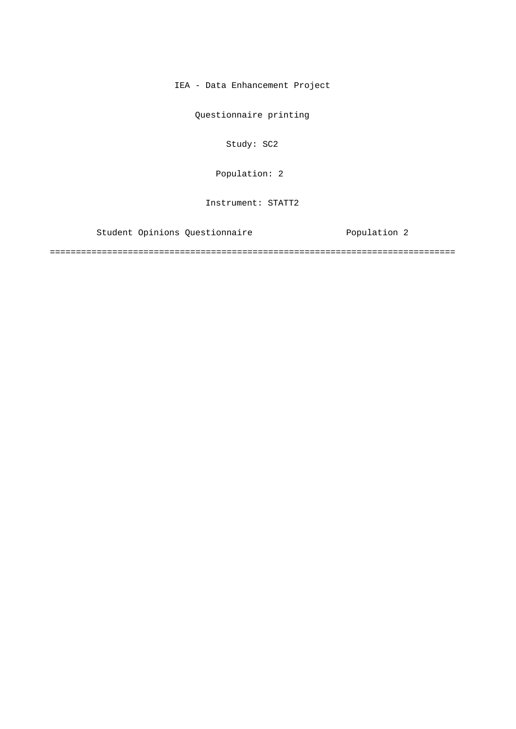IEA - Data Enhancement Project

Questionnaire printing

Study: SC2

Population: 2

Instrument: STATT2

Student Opinions Questionnaire **Exercice Population 2** 

==============================================================================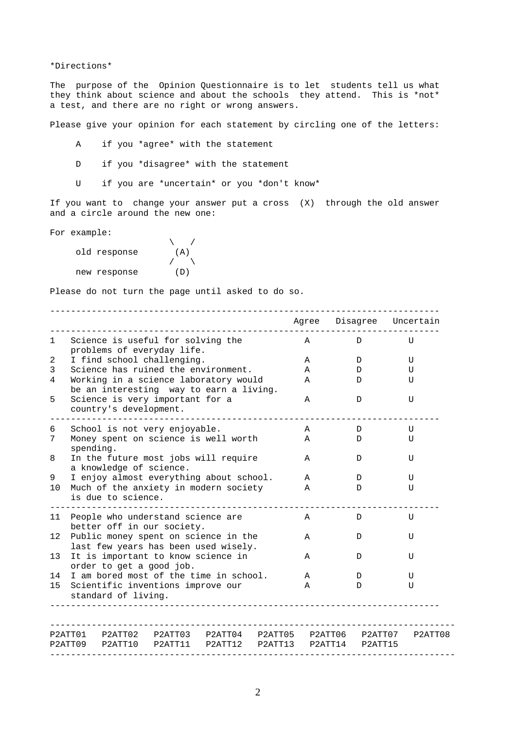\*Directions\*

The purpose of the Opinion Questionnaire is to let students tell us what they think about science and about the schools they attend. This is \*not\* a test, and there are no right or wrong answers.

Please give your opinion for each statement by circling one of the letters:

- A if you \*agree\* with the statement
- D if you \*disagree\* with the statement
- U if you are \*uncertain\* or you \*don't know\*

If you want to change your answer put a cross (X) through the old answer and a circle around the new one:

For example:

| ∴^u…p⊥⊂ |              |     |  |
|---------|--------------|-----|--|
|         | old response | (A) |  |
|         |              |     |  |
|         | new response | (D) |  |

Please do not turn the page until asked to do so.

|                 |                                                                                                                                                |  |   |             |                         | Agree Disagree Uncertain |
|-----------------|------------------------------------------------------------------------------------------------------------------------------------------------|--|---|-------------|-------------------------|--------------------------|
| 1               | Science is useful for solving the<br>problems of everyday life.                                                                                |  |   | $\mathbb A$ | D                       | U                        |
| 2               | I find school challenging.                                                                                                                     |  |   | Α           | D                       | U                        |
| 3               | Science has ruined the environment.                                                                                                            |  |   | A           | D                       | U                        |
| 4               | Working in a science laboratory would<br>be an interesting way to earn a living.                                                               |  |   | A           | D                       | U                        |
| 5               | Science is very important for a<br>country's development.                                                                                      |  |   | A           | D                       | U                        |
| 6               | School is not very enjoyable.                                                                                                                  |  |   | A           | D                       | U                        |
| 7               | Money spent on science is well worth<br>spending.                                                                                              |  |   | $\mathbb A$ | D                       | U                        |
| 8               | In the future most jobs will require<br>a knowledge of science.                                                                                |  |   | A           | D                       | U                        |
| 9               | I enjoy almost everything about school.                                                                                                        |  |   | A           | D                       | U                        |
| 10              | Much of the anxiety in modern society<br>is due to science.                                                                                    |  |   | A           | D                       | $\mathsf{U}$             |
| 11              | People who understand science are<br>better off in our society.                                                                                |  |   | Α           | D                       | U                        |
| 12 <sup>°</sup> | Public money spent on science in the<br>last few years has been used wisely.<br>It is important to know science in<br>order to get a good job. |  | A | D           | U                       |                          |
| 13              |                                                                                                                                                |  | A | D           | U                       |                          |
| 14              | I am bored most of the time in school.                                                                                                         |  |   | A           | D                       | U                        |
| 15              | Scientific inventions improve our<br>standard of living.                                                                                       |  |   | A           | D                       | U                        |
|                 | P2ATT01 P2ATT02 P2ATT03 P2ATT04 P2ATT05 P2ATT06 P2ATT07 P2ATT08                                                                                |  |   |             |                         |                          |
|                 | P2ATT09 P2ATT10 P2ATT11 P2ATT12                                                                                                                |  |   |             | P2ATT13 P2ATT14 P2ATT15 |                          |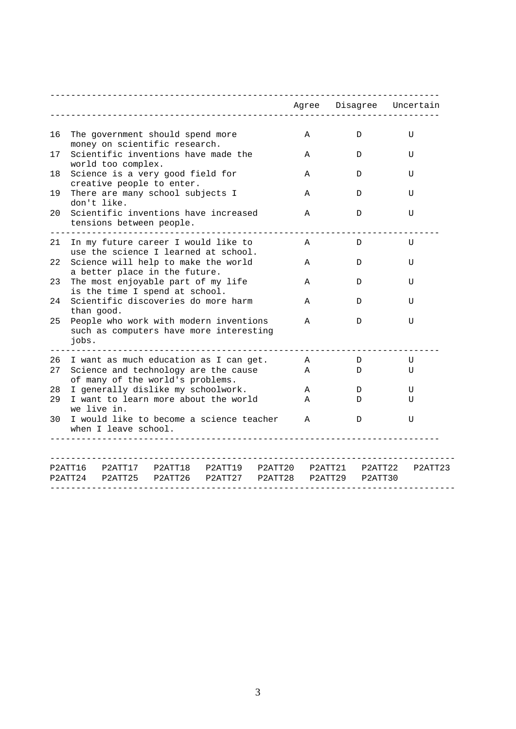|    |                                                                                                                    |              | Agree Disagree Uncertain |         |
|----|--------------------------------------------------------------------------------------------------------------------|--------------|--------------------------|---------|
|    |                                                                                                                    |              |                          |         |
| 16 | The government should spend more<br>money on scientific research.                                                  | Α            | D                        | U       |
| 17 | Scientific inventions have made the<br>world too complex.                                                          | Α            | D                        | U       |
| 18 | Science is a very good field for<br>creative people to enter.                                                      | Α            | D                        | U       |
| 19 | There are many school subjects I<br>don't like.                                                                    | A            | D.                       | U       |
| 20 | Scientific inventions have increased<br>tensions between people.                                                   | Α            | D                        | U       |
| 21 | In my future career I would like to<br>use the science I learned at school.                                        | Α            | D                        | U       |
| 22 | Science will help to make the world<br>a better place in the future.                                               | Α            | D                        | U       |
| 23 | The most enjoyable part of my life<br>is the time I spend at school.                                               | Α            | D                        | U       |
| 24 | Scientific discoveries do more harm<br>than good.                                                                  | Α            | D                        | U       |
| 25 | People who work with modern inventions<br>such as computers have more interesting<br>jobs.                         | A            | D                        | U       |
| 26 | I want as much education as I can get.                                                                             | A            | D                        | U       |
| 27 | Science and technology are the cause<br>of many of the world's problems.                                           |              | D                        | U       |
| 28 | I generally dislike my schoolwork.                                                                                 | Α            | D                        | U       |
| 29 | I want to learn more about the world<br>we live in.                                                                |              | D                        | U       |
| 30 | I would like to become a science teacher<br>when I leave school.                                                   | $\mathbf{A}$ | D                        | U       |
|    | P2ATT16 P2ATT17 P2ATT18 P2ATT19 P2ATT20 P2ATT21 P2ATT22<br>P2ATT24 P2ATT25 P2ATT26 P2ATT27 P2ATT28 P2ATT29 P2ATT30 |              |                          | P2ATT23 |